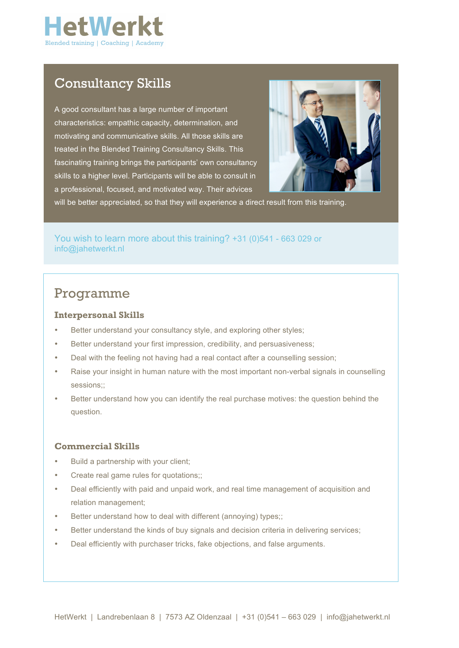

### Consultancy Skills

A good consultant has a large number of important characteristics: empathic capacity, determination, and motivating and communicative skills. All those skills are treated in the Blended Training Consultancy Skills. This fascinating training brings the participants' own consultancy skills to a higher level. Participants will be able to consult in a professional, focused, and motivated way. Their advices



will be better appreciated, so that they will experience a direct result from this training.

#### You wish to learn more about this training? +31 (0)541 - 663 029 or info@jahetwerkt.nl

### Programme

#### **Interpersonal Skills**

- Better understand your consultancy style, and exploring other styles;
- Better understand your first impression, credibility, and persuasiveness;
- Deal with the feeling not having had a real contact after a counselling session;
- Raise your insight in human nature with the most important non-verbal signals in counselling sessions::
- Better understand how you can identify the real purchase motives: the question behind the question.

#### **Commercial Skills**

- Build a partnership with your client;
- Create real game rules for quotations;;
- Deal efficiently with paid and unpaid work, and real time management of acquisition and relation management;
- Better understand how to deal with different (annoying) types;;
- Better understand the kinds of buy signals and decision criteria in delivering services;
- Deal efficiently with purchaser tricks, fake objections, and false arguments.